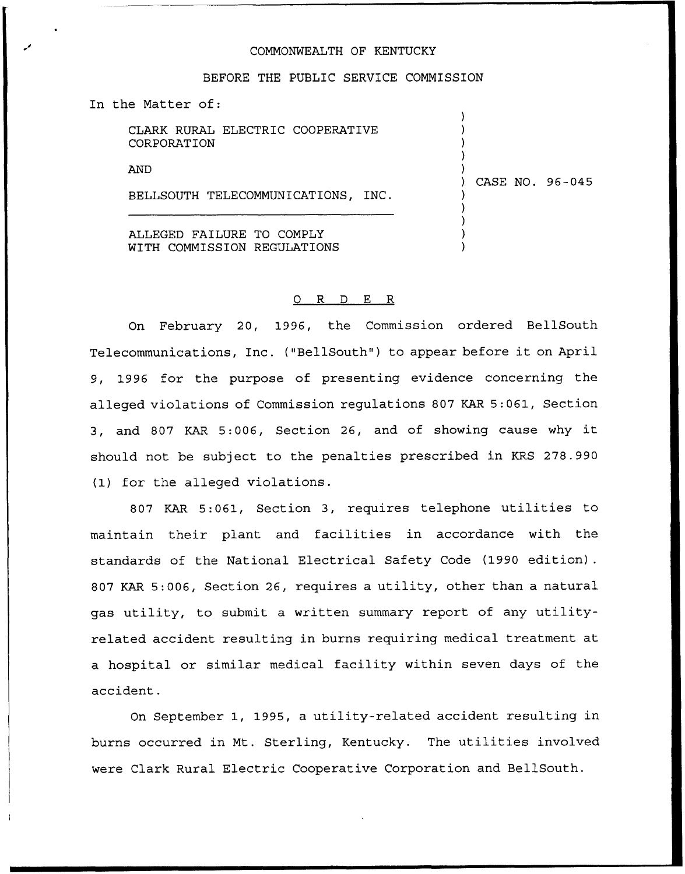## COMMONWEALTH OF KENTUCKY

## BEFORE THE PUBLIC SERVICE COMMISSION

In the Matter of:

|             |  | CLARK RURAL ELECTRIC COOPERATIVE |
|-------------|--|----------------------------------|
| CORPORATION |  |                                  |

**AND** 

BELLSOUTH TELECOMMUNICATIONS, INC.

) CASE NO. 96-045

) ) ) ) )

) ) ) ) )

ALLEGED FAILURE TO COMPLY WITH COMMISSION REGULATIONS

## 0 R <sup>D</sup> E R

On February 20, 1996, the Commission ordered BellSouth Telecommunications, Inc. ("BellSouth") to appear before it on April 9, 1996 for the purpose of presenting evidence concerning the alleged violations of Commission regulations 807 KAR 5:061, Section 3, and <sup>807</sup> KAR 5:006, Section 26, and of showing cause why it should not be subject to the penalties prescribed in KRS 278.990 (1) for the alleged violations.

807 KAR 5:061, Section 3, requires telephone utilities to maintain their plant and facilities in accordance with the standards of the National Electrical Safety Code (1990 edition). 807 KAR 5:006, Section 26, requires a utility, other than a natural gas utility, to submit a written summary report of any utilityrelated accident resulting in burns requiring medical treatment at a hospital or similar medical facility within seven days of the accident.

Qn September 1, 1995, a utility-related accident resulting in burns occurred in Mt. Sterling, Kentucky. The utilities involved were Clark Rural Electric Cooperative Corporation and BellSouth.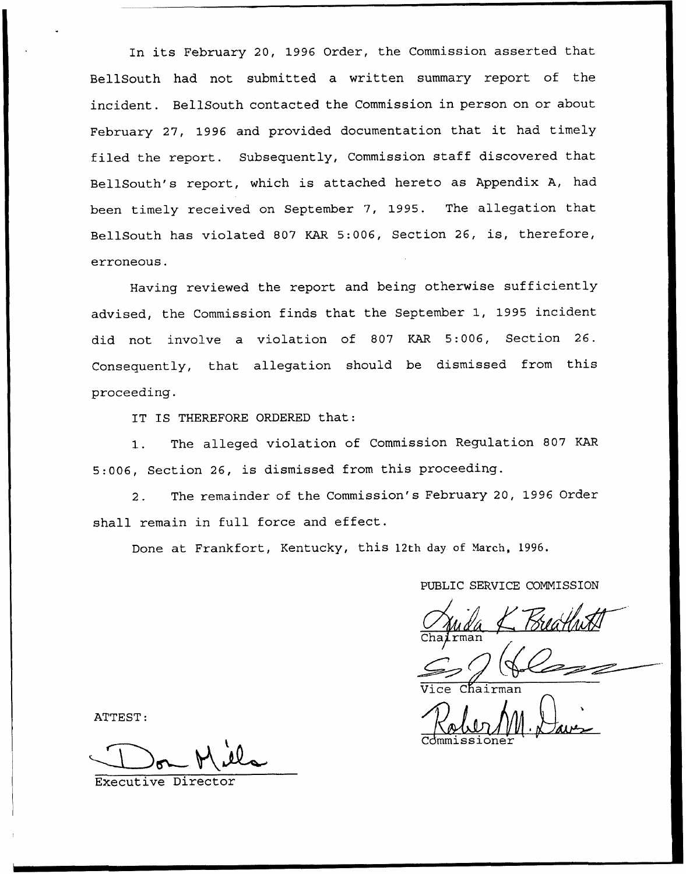In its February 20, 1996 Order, the Commission asserted that BellSouth had not submitted a written summary report of the incident. BellSouth contacted the Commission in person on or about February 27, 1996 and provided documentation that it had timely filed the report. Subsequently, Commission staff discovered that BellSouth's report, which is attached hereto as Appendix A, had been timely received on September 7, 1995. The allegation that BellSouth has violated 807 KAR 5:006, Section 26, is, therefore, erroneous.

Having reviewed the report and being otherwise sufficiently advised, the Commission finds that the September 1, 1995 incident did not involve a violation of 807 KAR 5:006, Section 26. Consequently, that allegation should be dismissed from this proceeding.

IT IS THEREFORE ORDERED that:

1. The alleged violation of Commission Regulation <sup>807</sup> KAR 5:006, Section 26, is dismissed from this proceeding.

2. The remainder of the Commission's February 20, 1996 Order shall remain in full force and effect.

Done at Frankfort, Kentucky, this 12th day of March, 1996.

PUBLIC SERVICE CONNISSION

 $\overline{\textsf{cman}}$ 

Robert 11. Da Commissione

ATTEST:

Executive Director